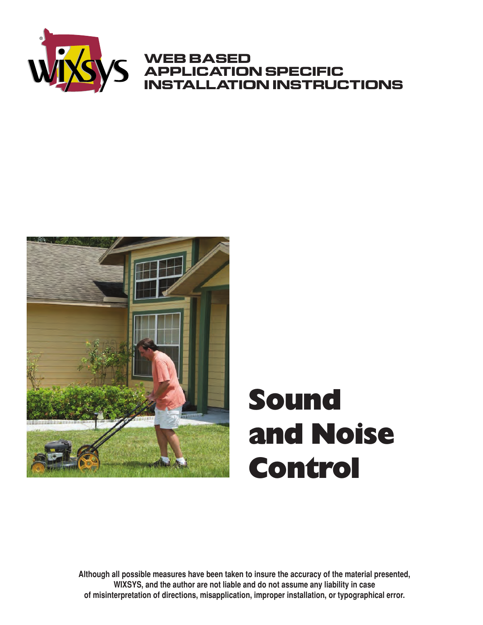

#### **WEB BASED APPLICATION SPECIFIC INSTALLATION INSTRUCTIONS**



# Sound and Noise **Control**

**Although all possible measures have been taken to insure the accuracy of the material presented, WIXSYS, and the author are not liable and do not assume any liability in case of misinterpretation of directions, misapplication, improper installation, or typographical error.**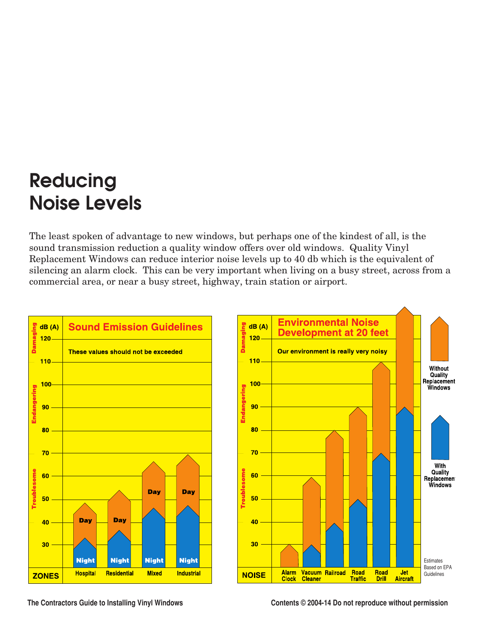### **Reducing Noise Levels**

The least spoken of advantage to new windows, but perhaps one of the kindest of all, is the sound transmission reduction a quality window offers over old windows. Quality Vinyl Replacement Windows can reduce interior noise levels up to 40 db which is the equivalent of silencing an alarm clock. This can be very important when living on a busy street, across from a commercial area, or near a busy street, highway, train station or airport.



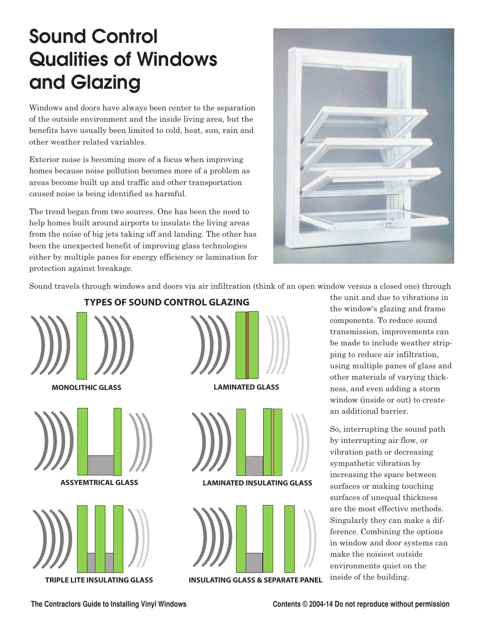## **Sound Control Qualities of Windows and Glazing**

Windows and doors have always been center to the separation of the outside environment and the inside living area, but the benefits have usually been limited to cold, heat, sun, rain and other weather related variables.

Exterior noise is becoming more of a focus when improving homes because noise pollution becomes more of a problem as areas become built up and traffic and other transportation caused noise is being identified as harmful.

The trend began from two sources. One has been the need to help homes built around airports to insulate the living areas from the noise of big jets taking off and landing. The other has been the unexpected benefit of improving glass technologies either by multiple panes for energy efficiency or lamination for protection against breakage.



Sound travels through windows and doors via air infiltration (think of an open window versus a closed one) through



**TRIPLE LITE INSULATING GLASS INSULATING GLASS & SEPARATE PANEL**

the unit and due to vibrations in the window's glazing and frame components. To reduce sound transmission, improvements can be made to include weather stripping to reduce air infiltration, using multiple panes of glass and other materials of varying thickness, and even adding a storm window (inside or out) to create an additional barrier.

So, interrupting the sound path by interrupting air flow, or vibration path or decreasing sympathetic vibration by increasing the space between surfaces or making touching surfaces of unequal thickness are the most effective methods. Singularly they can make a difference. Combining the options in window and door systems can make the noisiest outside environments quiet on the inside of the building.